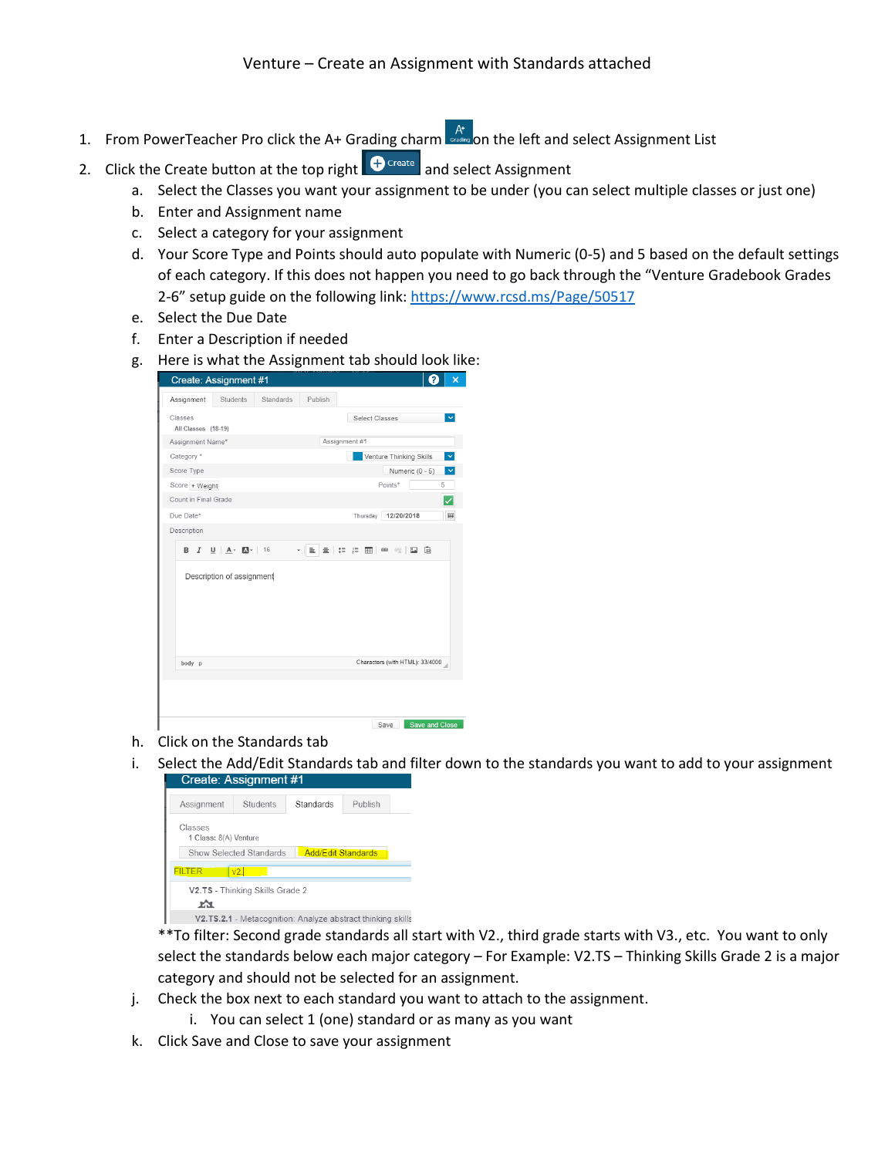- 1. From PowerTeacher Pro click the A+ Grading charm  $A_t$  on the left and select Assignment List
- 2. Click the Create button at the top right  $\bigoplus^{\text{Create}}$  and select Assignment
	- a. Select the Classes you want your assignment to be under (you can select multiple classes or just one)
	- b. Enter and Assignment name
	- c. Select a category for your assignment
	- d. Your Score Type and Points should auto populate with Numeric (0-5) and 5 based on the default settings of each category. If this does not happen you need to go back through the "Venture Gradebook Grades 2-6" setup guide on the following link:<https://www.rcsd.ms/Page/50517>
	- e. Select the Due Date
	- f. Enter a Description if needed
	- g. Here is what the Assignment tab should look like:

|                  | <b>Create: Assignment #1</b>        |                  |         | ?                                                                                               | $\overline{\mathsf{x}}$ |  |
|------------------|-------------------------------------|------------------|---------|-------------------------------------------------------------------------------------------------|-------------------------|--|
| Assignment       | <b>Students</b>                     | <b>Standards</b> | Publish |                                                                                                 |                         |  |
| Classes          | All Classes (18-19)                 |                  |         | Select Classes                                                                                  |                         |  |
| Assignment Name* |                                     | Assignment #1    |         |                                                                                                 |                         |  |
| Category *       |                                     |                  |         | Venture Thinking Skills<br>$\checkmark$                                                         |                         |  |
| Score Type       |                                     |                  |         | $\checkmark$<br>Numeric (0 - 5)                                                                 |                         |  |
| Score + Weight   |                                     | Points*          | 5       |                                                                                                 |                         |  |
|                  | Count in Final Grade                |                  |         |                                                                                                 | $\checkmark$            |  |
| Due Date*        |                                     |                  |         | 12/20/2018<br>Thursday                                                                          | 圖                       |  |
| Description      |                                     |                  |         |                                                                                                 |                         |  |
| в                | $I \cup \mathbf{A}$ $\mathbf{A}$ 16 |                  | - I ≣   | $\pm$ : : : $\overline{\text{m}}$ $\infty$ $\infty$ $\overline{\text{m}}$ $\overline{\text{m}}$ |                         |  |
| body p           | Description of assignment           |                  |         | Characters (with HTML): 33/4000                                                                 |                         |  |
|                  |                                     |                  |         | Save and Close<br>Save                                                                          |                         |  |

- h. Click on the Standards tab
- i. Select the Add/Edit Standards tab and filter down to the standards you want to add to your assignment

| $U$ icalc. Assiyi illici il $\pi$ i                         |                                 |                                                             |         |  |  |  |  |  |
|-------------------------------------------------------------|---------------------------------|-------------------------------------------------------------|---------|--|--|--|--|--|
| Assignment                                                  | Students                        | Standards                                                   | Publish |  |  |  |  |  |
| Classes<br>1 Class: 8(A) Venture                            |                                 |                                                             |         |  |  |  |  |  |
| <b>Add/Edit Standards</b><br><b>Show Selected Standards</b> |                                 |                                                             |         |  |  |  |  |  |
| FILTER                                                      | v2.1                            |                                                             |         |  |  |  |  |  |
| XX.                                                         | V2.TS - Thinking Skills Grade 2 |                                                             |         |  |  |  |  |  |
|                                                             |                                 | V2.TS.2.1 - Metacognition: Analyze abstract thinking skills |         |  |  |  |  |  |

\*\*To filter: Second grade standards all start with V2., third grade starts with V3., etc. You want to only select the standards below each major category – For Example: V2.TS – Thinking Skills Grade 2 is a major category and should not be selected for an assignment.

- j. Check the box next to each standard you want to attach to the assignment.
	- i. You can select 1 (one) standard or as many as you want
- k. Click Save and Close to save your assignment